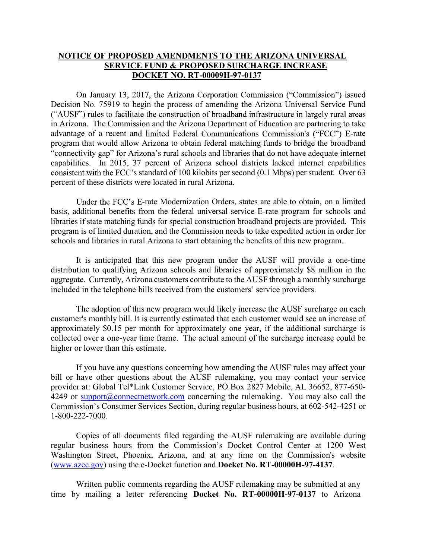## **NOTICE OF PROPOSED AMENDMENTS TO THE ARIZONA UNIVERSAL SERVICE FUND & PROPOSED SURCHARGE INCREASE DOCKET NO. RT-00009H-97-0137**

On January 13, 2017, the Arizona Corporation Commission ("Commission") issued Decision No. 75919 to begin the process of amending the Arizona Universal Service Fund ("AUSF") rules to facilitate the construction of broadband infrastructure in largely rural areas in Arizona. The Commission and the Arizona Department of Education are partnering to take advantage of a recent and limited Federal Communications Commission's ("FCC") E-rate program that would allow Arizona to obtain federal matching funds to bridge the broadband<br>"connectivity gap" for Arizona's rural schools and libraries that do not have adequate internet capabilities. In 2015, 37 percent of Arizona school districts lacked internet capabilities consistent with the FCC's standard of 100 kilobits per second (0.1 Mbps) per student. Over 63 percent of these districts were located in rural Arizona.

Under the FCC's E-rate Modernization Orders, states are able to obtain, on a limited basis, additional benefits from the federal universal service E-rate program for schools and libraries if state matching funds for special construction broadband projects are provided. This program is of limited duration, and the Commission needs to take expedited action in order for schools and libraries in rural Arizona to start obtaining the benefits of this new program.

It is anticipated that this new program under the AUSF will provide a one-time distribution to qualifying Arizona schools and libraries of approximately \$8 million in the aggregate. Currently, Arizona customers contribute to the AUSF through a monthly surcharge included in the telephone bills received from the customers' service providers.

The adoption of this new program would likely increase the AUSF surcharge on each customer's monthly bill. It is currently estimated that each customer would see an increase of approximately \$0.15 per month for approximately one year, if the additional surcharge is collected over a one-year time frame. The actual amount of the surcharge increase could be higher or lower than this estimate.

If you have any questions concerning how amending the AUSF rules may affect your bill or have other questions about the AUSF rulemaking, you may contact your service provider at: Global Tel\*Link Customer Service, PO Box 2827 Mobile, AL 36652, 877-650- 4249 or support@connectnetwork.com concerning the rulemaking. You may also call the Commission's Consumer Services Section, during regular business hours, at 602-542-4251 or 1-800-222-7000.

Copies of all documents filed regarding the AUSF rulemaking are available during regular business hours from the Commission's Docket Control Center at 1200 West Washington Street, Phoenix, Arizona, and at any time on the Commission's website (www.azcc.gov) using the e-Docket function and **Docket No. RT-00000H-97-4137**.

Written public comments regarding the AUSF rulemaking may be submitted at any time by mailing a letter referencing **Docket No. RT-00000H-97-0137** to Arizona